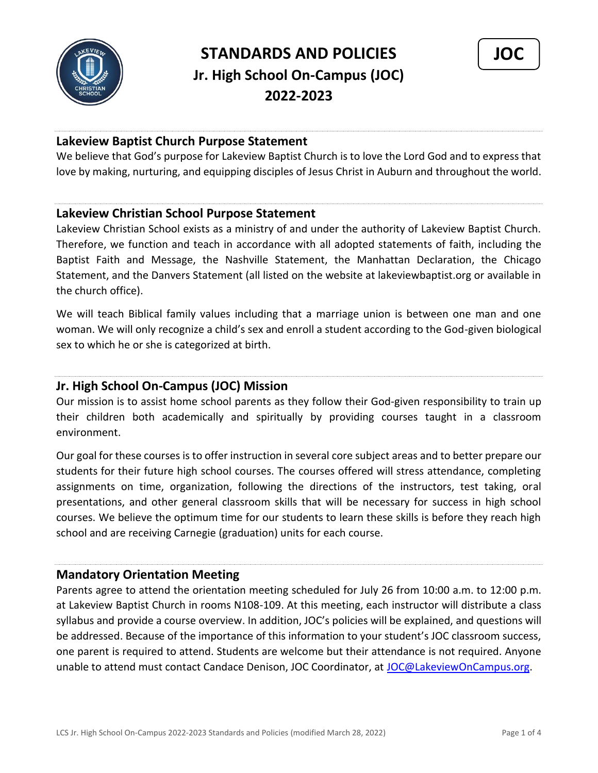



## **Lakeview Baptist Church Purpose Statement**

We believe that God's purpose for Lakeview Baptist Church is to love the Lord God and to express that love by making, nurturing, and equipping disciples of Jesus Christ in Auburn and throughout the world.

## **Lakeview Christian School Purpose Statement**

Lakeview Christian School exists as a ministry of and under the authority of Lakeview Baptist Church. Therefore, we function and teach in accordance with all adopted statements of faith, including the Baptist Faith and Message, the Nashville Statement, the Manhattan Declaration, the Chicago Statement, and the Danvers Statement (all listed on the website at lakeviewbaptist.org or available in the church office).

We will teach Biblical family values including that a marriage union is between one man and one woman. We will only recognize a child's sex and enroll a student according to the God-given biological sex to which he or she is categorized at birth.

## **Jr. High School On-Campus (JOC) Mission**

Our mission is to assist home school parents as they follow their God-given responsibility to train up their children both academically and spiritually by providing courses taught in a classroom environment.

Our goal for these courses is to offer instruction in several core subject areas and to better prepare our students for their future high school courses. The courses offered will stress attendance, completing assignments on time, organization, following the directions of the instructors, test taking, oral presentations, and other general classroom skills that will be necessary for success in high school courses. We believe the optimum time for our students to learn these skills is before they reach high school and are receiving Carnegie (graduation) units for each course.

## **Mandatory Orientation Meeting**

Parents agree to attend the orientation meeting scheduled for July 26 from 10:00 a.m. to 12:00 p.m. at Lakeview Baptist Church in rooms N108-109. At this meeting, each instructor will distribute a class syllabus and provide a course overview. In addition, JOC's policies will be explained, and questions will be addressed. Because of the importance of this information to your student's JOC classroom success, one parent is required to attend. Students are welcome but their attendance is not required. Anyone unable to attend must contact Candace Denison, JOC Coordinator, at [JOC@LakeviewOnCampus.org.](mailto:JOC@LakeviewOnCampus.org)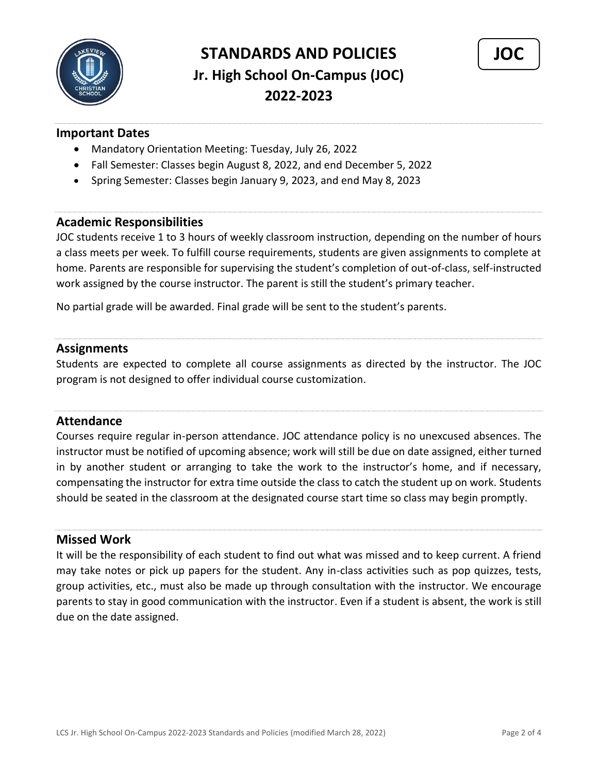



## **Important Dates**

- Mandatory Orientation Meeting: Tuesday, July 26, 2022
- Fall Semester: Classes begin August 8, 2022, and end December 5, 2022
- Spring Semester: Classes begin January 9, 2023, and end May 8, 2023

### **Academic Responsibilities**

JOC students receive 1 to 3 hours of weekly classroom instruction, depending on the number of hours a class meets per week. To fulfill course requirements, students are given assignments to complete at home. Parents are responsible for supervising the student's completion of out-of-class, self-instructed work assigned by the course instructor. The parent is still the student's primary teacher.

No partial grade will be awarded. Final grade will be sent to the student's parents.

#### **Assignments**

Students are expected to complete all course assignments as directed by the instructor. The JOC program is not designed to offer individual course customization.

### **Attendance**

Courses require regular in-person attendance. JOC attendance policy is no unexcused absences. The instructor must be notified of upcoming absence; work will still be due on date assigned, either turned in by another student or arranging to take the work to the instructor's home, and if necessary, compensating the instructor for extra time outside the class to catch the student up on work. Students should be seated in the classroom at the designated course start time so class may begin promptly.

## **Missed Work**

It will be the responsibility of each student to find out what was missed and to keep current. A friend may take notes or pick up papers for the student. Any in-class activities such as pop quizzes, tests, group activities, etc., must also be made up through consultation with the instructor. We encourage parents to stay in good communication with the instructor. Even if a student is absent, the work is still due on the date assigned.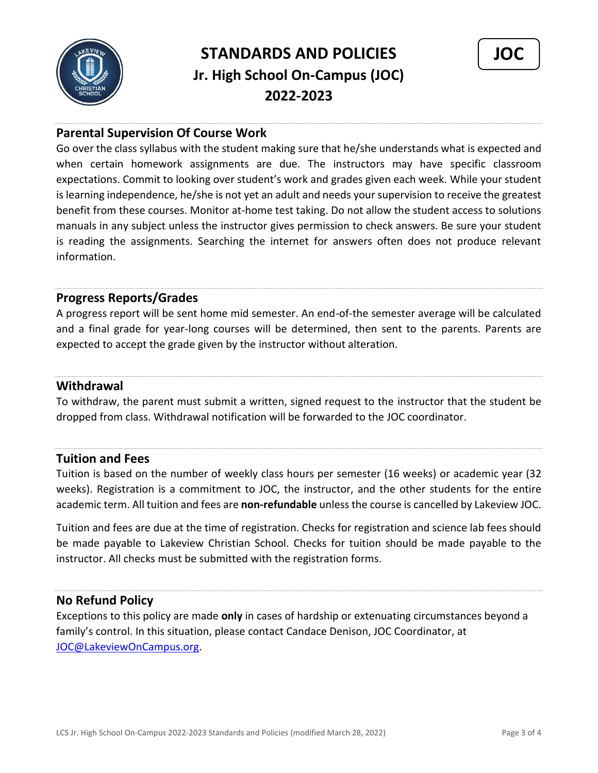



## **Parental Supervision Of Course Work**

Go over the class syllabus with the student making sure that he/she understands what is expected and when certain homework assignments are due. The instructors may have specific classroom expectations. Commit to looking over student's work and grades given each week. While your student is learning independence, he/she is not yet an adult and needs your supervision to receive the greatest benefit from these courses. Monitor at-home test taking. Do not allow the student access to solutions manuals in any subject unless the instructor gives permission to check answers. Be sure your student is reading the assignments. Searching the internet for answers often does not produce relevant information.

## **Progress Reports/Grades**

A progress report will be sent home mid semester. An end-of-the semester average will be calculated and a final grade for year-long courses will be determined, then sent to the parents. Parents are expected to accept the grade given by the instructor without alteration.

## **Withdrawal**

To withdraw, the parent must submit a written, signed request to the instructor that the student be dropped from class. Withdrawal notification will be forwarded to the JOC coordinator.

## **Tuition and Fees**

Tuition is based on the number of weekly class hours per semester (16 weeks) or academic year (32 weeks). Registration is a commitment to JOC, the instructor, and the other students for the entire academic term. All tuition and fees are **non-refundable** unless the course is cancelled by Lakeview JOC.

Tuition and fees are due at the time of registration. Checks for registration and science lab fees should be made payable to Lakeview Christian School. Checks for tuition should be made payable to the instructor. All checks must be submitted with the registration forms.

## **No Refund Policy**

Exceptions to this policy are made **only** in cases of hardship or extenuating circumstances beyond a family's control. In this situation, please contact Candace Denison, JOC Coordinator, at [JOC@LakeviewOnCampus.org.](mailto:JOC@LakeviewOnCampus.org)